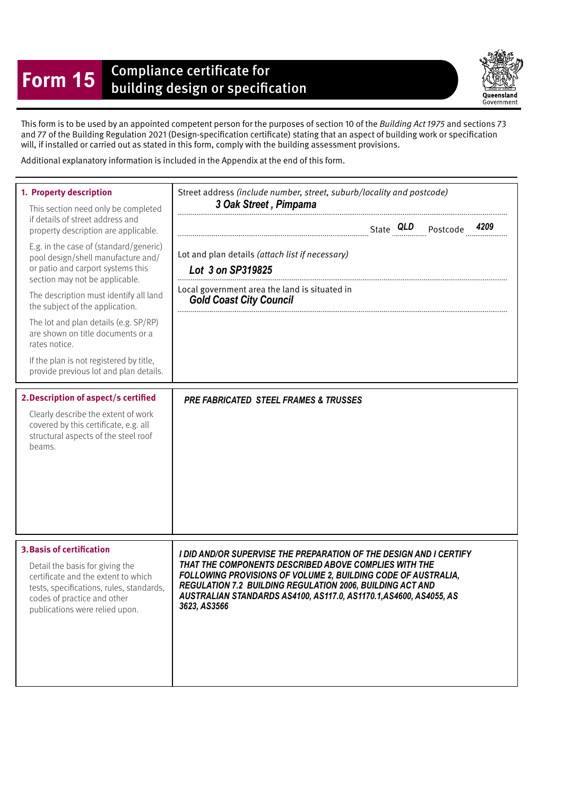## **Form 15** Compliance certificate for<br>building design or specification



This form is to be used by an appointed competent person for the purposes of section 10 of the Building Act 1975 and sections 73 and 77 of the Building Regulation 2021 (Design-specifcation certifcate) stating that an aspect of building work or specifcation will, if installed or carried out as stated in this form, comply with the building assessment provisions.

Additional explanatory information is included in the Appendix at the end of this form.

| 1. Property description<br>This section need only be completed<br>if details of street address and<br>property description are applicable.<br>E.g. in the case of (standard/generic)<br>pool design/shell manufacture and/<br>or patio and carport systems this<br>section may not be applicable.<br>The description must identify all land<br>the subject of the application.<br>The lot and plan details (e.g. SP/RP)<br>are shown on title documents or a<br>rates notice.<br>If the plan is not registered by title,<br>provide previous lot and plan details.<br>2. Description of aspect/s certified<br>Clearly describe the extent of work<br>covered by this certificate, e.g. all<br>structural aspects of the steel roof<br>beams. | Street address (include number, street, suburb/locality and postcode)<br>3 Oak Street, Pimpama<br>Lot and plan details (attach list if necessary)<br>Lot 3 on SP319825<br>Local government area the land is situated in<br><b>Gold Coast City Council</b><br><b>PRE FABRICATED STEEL FRAMES &amp; TRUSSES</b>                                   |
|----------------------------------------------------------------------------------------------------------------------------------------------------------------------------------------------------------------------------------------------------------------------------------------------------------------------------------------------------------------------------------------------------------------------------------------------------------------------------------------------------------------------------------------------------------------------------------------------------------------------------------------------------------------------------------------------------------------------------------------------|-------------------------------------------------------------------------------------------------------------------------------------------------------------------------------------------------------------------------------------------------------------------------------------------------------------------------------------------------|
|                                                                                                                                                                                                                                                                                                                                                                                                                                                                                                                                                                                                                                                                                                                                              |                                                                                                                                                                                                                                                                                                                                                 |
| <b>3. Basis of certification</b><br>Detail the basis for giving the<br>certificate and the extent to which<br>tests, specifications, rules, standards,<br>codes of practice and other<br>publications were relied upon.                                                                                                                                                                                                                                                                                                                                                                                                                                                                                                                      | I DID AND/OR SUPERVISE THE PREPARATION OF THE DESIGN AND I CERTIFY<br>THAT THE COMPONENTS DESCRIBED ABOVE COMPLIES WITH THE<br>FOLLOWING PROVISIONS OF VOLUME 2, BUILDING CODE OF AUSTRALIA,<br>REGULATION 7.2 BUILDING REGULATION 2006, BUILDING ACT AND<br>AUSTRALIAN STANDARDS AS4100, AS117.0, AS1170.1, AS4600, AS4055, AS<br>3623, AS3566 |